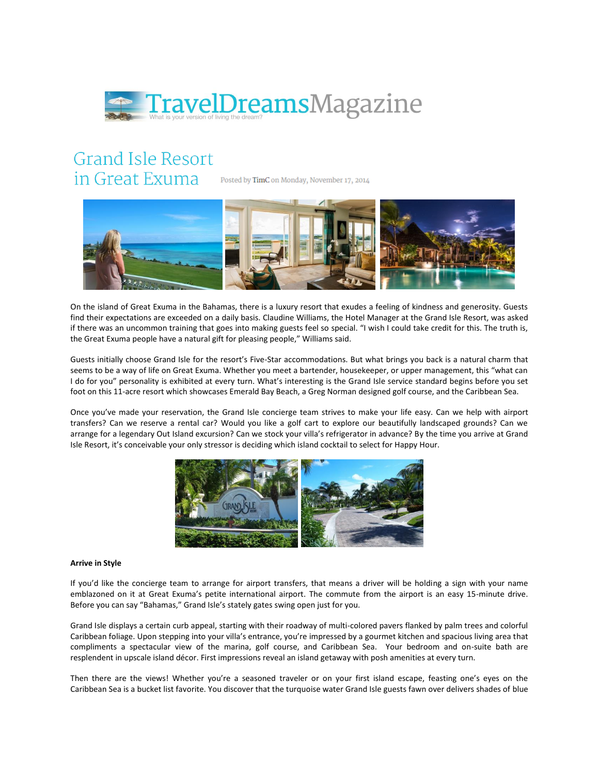

## **Grand Isle Resort** in Great Exuma

Posted by TimC on Monday, November 17, 2014



On the island of Great Exuma in the Bahamas, there is a luxury resort that exudes a feeling of kindness and generosity. Guests find their expectations are exceeded on a daily basis. Claudine Williams, the Hotel Manager at the Grand Isle Resort, was asked if there was an uncommon training that goes into making guests feel so special. "I wish I could take credit for this. The truth is, the Great Exuma people have a natural gift for pleasing people," Williams said.

Guests initially choose Grand Isle for the resort's Five-Star accommodations. But what brings you back is a natural charm that seems to be a way of life on Great Exuma. Whether you meet a bartender, housekeeper, or upper management, this "what can I do for you" personality is exhibited at every turn. What's interesting is the Grand Isle service standard begins before you set foot on this 11-acre resort which showcases Emerald Bay Beach, a Greg Norman designed golf course, and the Caribbean Sea.

Once you've made your reservation, the Grand Isle concierge team strives to make your life easy. Can we help with airport transfers? Can we reserve a rental car? Would you like a golf cart to explore our beautifully landscaped grounds? Can we arrange for a legendary Out Island excursion? Can we stock your villa's refrigerator in advance? By the time you arrive at Grand Isle Resort, it's conceivable your only stressor is deciding which island cocktail to select for Happy Hour.



## **Arrive in Style**

If you'd like the concierge team to arrange for airport transfers, that means a driver will be holding a sign with your name emblazoned on it at Great Exuma's petite international airport. The commute from the airport is an easy 15-minute drive. Before you can say "Bahamas," Grand Isle's stately gates swing open just for you.

Grand Isle displays a certain curb appeal, starting with their roadway of multi-colored pavers flanked by palm trees and colorful Caribbean foliage. Upon stepping into your villa's entrance, you're impressed by a gourmet kitchen and spacious living area that compliments a spectacular view of the marina, golf course, and Caribbean Sea. Your bedroom and on-suite bath are resplendent in upscale island décor. First impressions reveal an island getaway with posh amenities at every turn.

Then there are the views! Whether you're a seasoned traveler or on your first island escape, feasting one's eyes on the Caribbean Sea is a bucket list favorite. You discover that the turquoise water Grand Isle guests fawn over delivers shades of blue